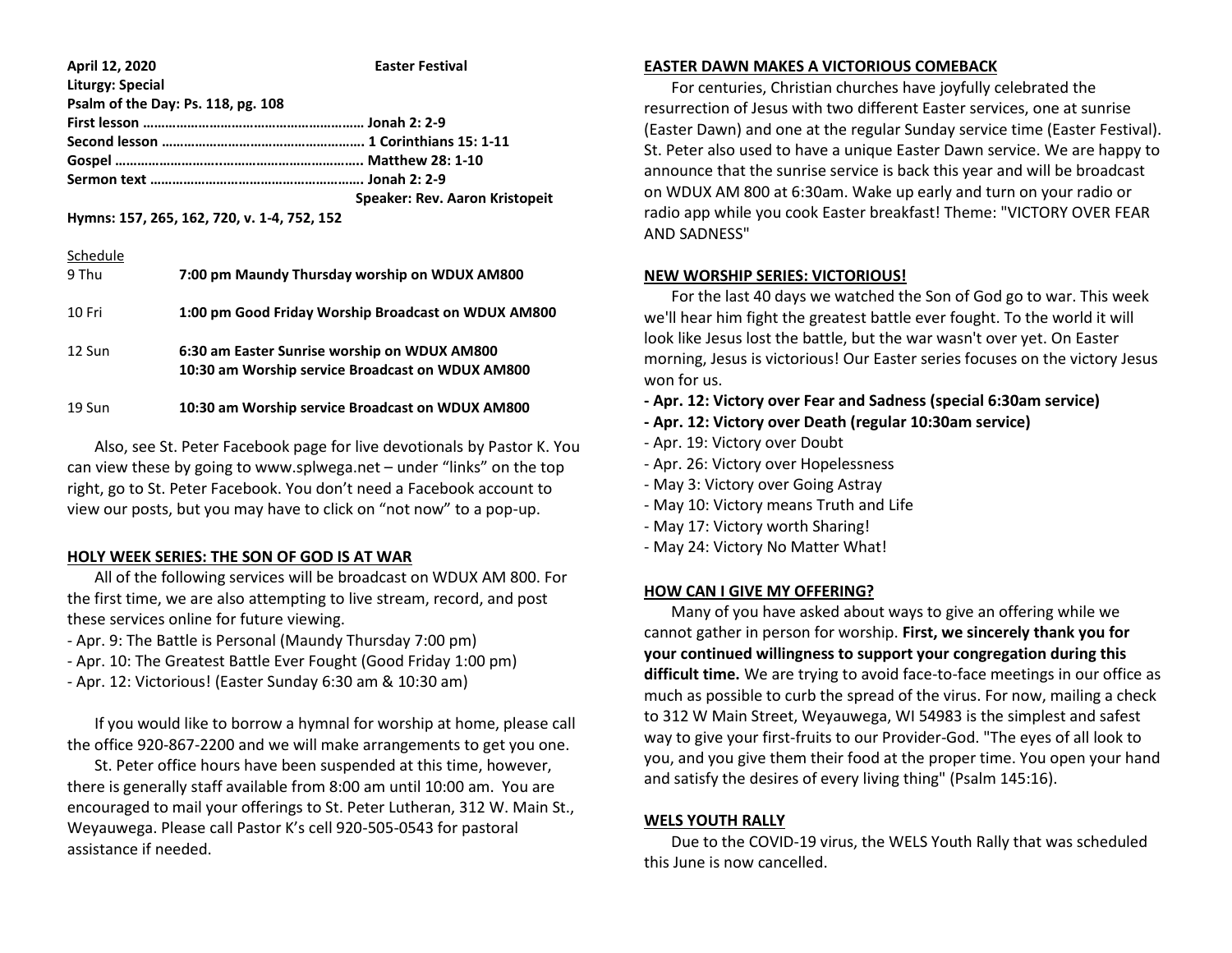| April 12, 2020                              | <b>Easter Festival</b>         |
|---------------------------------------------|--------------------------------|
| <b>Liturgy: Special</b>                     |                                |
| Psalm of the Day: Ps. 118, pg. 108          |                                |
|                                             |                                |
|                                             |                                |
|                                             |                                |
|                                             |                                |
|                                             | Speaker: Rev. Aaron Kristopeit |
| Hymns: 157, 265, 162, 720, v. 1-4, 752, 152 |                                |
| Schedule                                    |                                |

| 9 Thu  | 7:00 pm Maundy Thursday worship on WDUX AM800                                                    |
|--------|--------------------------------------------------------------------------------------------------|
| 10 Fri | 1:00 pm Good Friday Worship Broadcast on WDUX AM800                                              |
| 12 Sun | 6:30 am Easter Sunrise worship on WDUX AM800<br>10:30 am Worship service Broadcast on WDUX AM800 |
| 19 Sun | 10:30 am Worship service Broadcast on WDUX AM800                                                 |

 Also, see St. Peter Facebook page for live devotionals by Pastor K. You can view these by going to www.splwega.net – under "links" on the top right, go to St. Peter Facebook. You don't need a Facebook account to view our posts, but you may have to click on "not now" to a pop-up.

### **HOLY WEEK SERIES: THE SON OF GOD IS AT WAR**

 All of the following services will be broadcast on WDUX AM 800. For the first time, we are also attempting to live stream, record, and post these services online for future viewing.

- Apr. 9: The Battle is Personal (Maundy Thursday 7:00 pm)
- Apr. 10: The Greatest Battle Ever Fought (Good Friday 1:00 pm)
- Apr. 12: Victorious! (Easter Sunday 6:30 am & 10:30 am)

 If you would like to borrow a hymnal for worship at home, please call the office 920-867-2200 and we will make arrangements to get you one.

 St. Peter office hours have been suspended at this time, however, there is generally staff available from 8:00 am until 10:00 am. You are encouraged to mail your offerings to St. Peter Lutheran, 312 W. Main St., Weyauwega. Please call Pastor K's cell 920-505-0543 for pastoral assistance if needed.

#### **EASTER DAWN MAKES A VICTORIOUS COMEBACK**

 For centuries, Christian churches have joyfully celebrated the resurrection of Jesus with two different Easter services, one at sunrise (Easter Dawn) and one at the regular Sunday service time (Easter Festival). St. Peter also used to have a unique Easter Dawn service. We are happy to announce that the sunrise service is back this year and will be broadcast on WDUX AM 800 at 6:30am. Wake up early and turn on your radio or radio app while you cook Easter breakfast! Theme: "VICTORY OVER FEAR AND SADNESS"

## **NEW WORSHIP SERIES: VICTORIOUS!**

 For the last 40 days we watched the Son of God go to war. This week we'll hear him fight the greatest battle ever fought. To the world it will look like Jesus lost the battle, but the war wasn't over yet. On Easter morning, Jesus is victorious! Our Easter series focuses on the victory Jesus won for us.

- **- Apr. 12: Victory over Fear and Sadness (special 6:30am service)**
- **- Apr. 12: Victory over Death (regular 10:30am service)**
- Apr. 19: Victory over Doubt
- Apr. 26: Victory over Hopelessness
- May 3: Victory over Going Astray
- May 10: Victory means Truth and Life
- May 17: Victory worth Sharing!
- May 24: Victory No Matter What!

# **HOW CAN I GIVE MY OFFERING?**

 Many of you have asked about ways to give an offering while we cannot gather in person for worship. **First, we sincerely thank you for your continued willingness to support your congregation during this difficult time.** We are trying to avoid face-to-face meetings in our office as much as possible to curb the spread of the virus. For now, mailing a check to 312 W Main Street, Weyauwega, WI 54983 is the simplest and safest way to give your first-fruits to our Provider-God. "The eyes of all look to you, and you give them their food at the proper time. You open your hand and satisfy the desires of every living thing" (Psalm 145:16).

### **WELS YOUTH RALLY**

 Due to the COVID-19 virus, the WELS Youth Rally that was scheduled this June is now cancelled.